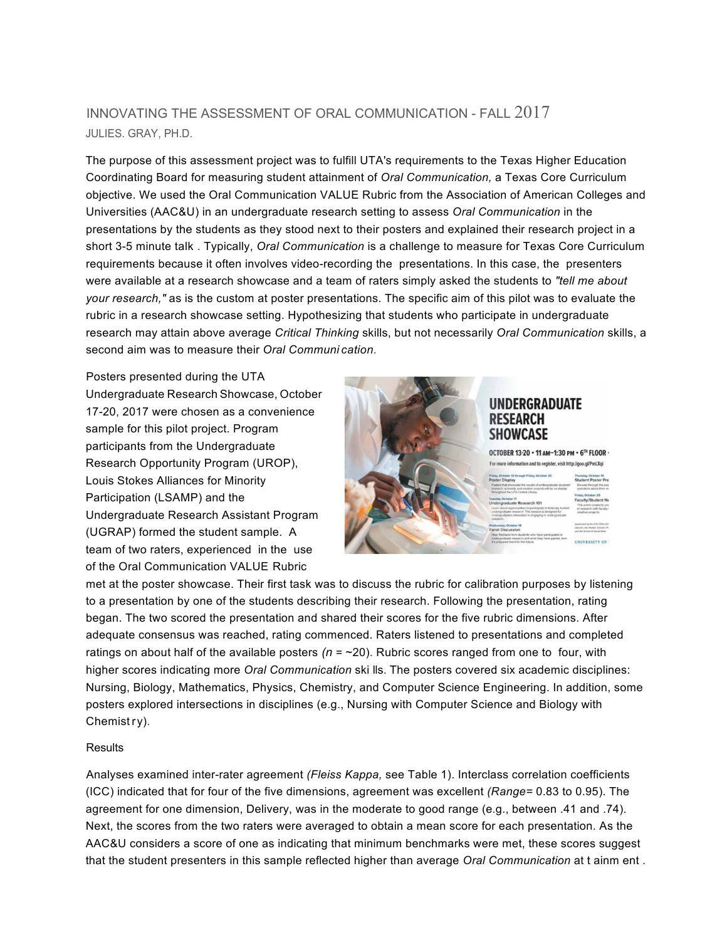## JULIES. GRAY, PH.D. INNOVATING THE ASSESSMENT OF ORAL COMMUNICATION - FALL 2017

 The purpose of this assessment project was to fulfill UTA's requirements to the Texas Higher Education Coordinating Board for measuring student attainment of *Oral Communication,* a Texas Core Curriculum Universities (AAC&U) in an undergraduate research setting to assess *Oral Communication* in the presentations by the students as they stood next to their posters and explained their research project in a short 3-5 minute talk . Typically, *Oral Communication* is a challenge to measure for Texas Core Curriculum requirements because it often involves video-recording the presentations. In this case, the presenters were available at a research showcase and a team of raters simply asked the students to *"tell me about your research,"* as is the custom at poster presentations. The specific aim of this pilot was to evaluate the rubric in a research showcase setting. Hypothesizing that students who participate in undergraduate research may attain above average *Critical Thinking* skills, but not necessarily *Oral Communication* skills, a second aim was to measure their *Oral Communi cation.*  objective. We used the Oral Communication VALUE Rubric from the Association of American Colleges and

 Posters presented during the UTA Undergraduate Research Showcase, October sample for this pilot project. Program participants from the Undergraduate Research Opportunity Program (UROP), Louis Stokes Alliances for Minority Participation (LSAMP) and the Undergraduate Research Assistant Program (UGRAP) formed the student sample. A of the Oral Communication VALUE Rubric 17-20, 2017 were chosen as a convenience team of two raters, experienced in the use



 met at the poster showcase. Their first task was to discuss the rubric for calibration purposes by listening began. The two scored the presentation and shared their scores for the five rubric dimensions. After adequate consensus was reached, rating commenced. Raters listened to presentations and completed ratings on about half of the available posters *(n* = ~20). Rubric scores ranged from one to four, with higher scores indicating more *Oral Communication* ski lls. The posters covered six academic disciplines: Nursing, Biology, Mathematics, Physics, Chemistry, and Computer Science Engineering. In addition, some Chemist ry). to a presentation by one of the students describing their research. Following the presentation, rating posters explored intersections in disciplines (e.g., Nursing with Computer Science and Biology with

## **Results**

 Analyses examined inter-rater agreement *(Fleiss Kappa,* see Table 1). Interclass correlation coefficients (ICC) indicated that for four of the five dimensions, agreement was excellent *(Range=* 0.83 to 0.95). The agreement for one dimension, Delivery, was in the moderate to good range (e.g., between .41 and .74). Next, the scores from the two raters were averaged to obtain a mean score for each presentation. As the AAC&U considers a score of one as indicating that minimum benchmarks were met, these scores suggest that the student presenters in this sample reflected higher than average *Oral Communication* at t ainm ent .